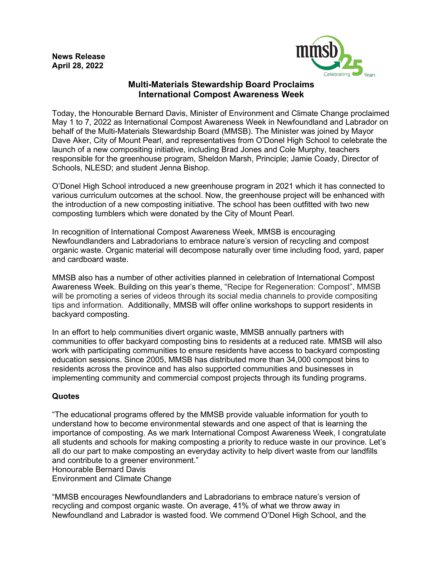

## **Multi-Materials Stewardship Board Proclaims International Compost Awareness Week**

Today, the Honourable Bernard Davis, Minister of Environment and Climate Change proclaimed May 1 to 7, 2022 as International Compost Awareness Week in Newfoundland and Labrador on behalf of the Multi-Materials Stewardship Board (MMSB). The Minister was joined by Mayor Dave Aker, City of Mount Pearl, and representatives from O'Donel High School to celebrate the launch of a new compositing initiative, including Brad Jones and Cole Murphy, teachers responsible for the greenhouse program, Sheldon Marsh, Principle; Jamie Coady, Director of Schools, NLESD; and student Jenna Bishop.

O'Donel High School introduced a new greenhouse program in 2021 which it has connected to various curriculum outcomes at the school. Now, the greenhouse project will be enhanced with the introduction of a new composting initiative. The school has been outfitted with two new composting tumblers which were donated by the City of Mount Pearl.

In recognition of International Compost Awareness Week, MMSB is encouraging Newfoundlanders and Labradorians to embrace nature's version of recycling and compost organic waste. Organic material will decompose naturally over time including food, yard, paper and cardboard waste.

MMSB also has a number of other activities planned in celebration of International Compost Awareness Week. Building on this year's theme, "Recipe for Regeneration: Compost", MMSB will be promoting a series of videos through its social media channels to provide compositing tips and information. Additionally, MMSB will offer online workshops to support residents in backyard composting.

In an effort to help communities divert organic waste, MMSB annually partners with communities to offer backyard composting bins to residents at a reduced rate. MMSB will also work with participating communities to ensure residents have access to backyard composting education sessions. Since 2005, MMSB has distributed more than 34,000 compost bins to residents across the province and has also supported communities and businesses in implementing community and commercial compost projects through its funding programs.

## **Quotes**

"The educational programs offered by the MMSB provide valuable information for youth to understand how to become environmental stewards and one aspect of that is learning the importance of composting. As we mark International Compost Awareness Week, I congratulate all students and schools for making composting a priority to reduce waste in our province. Let's all do our part to make composting an everyday activity to help divert waste from our landfills and contribute to a greener environment."

Honourable Bernard Davis

Environment and Climate Change

"MMSB encourages Newfoundlanders and Labradorians to embrace nature's version of recycling and compost organic waste. On average, 41% of what we throw away in Newfoundland and Labrador is wasted food. We commend O'Donel High School, and the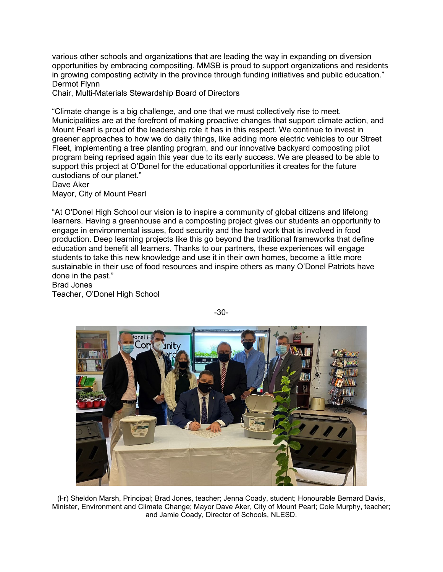various other schools and organizations that are leading the way in expanding on diversion opportunities by embracing compositing. MMSB is proud to support organizations and residents in growing composting activity in the province through funding initiatives and public education." Dermot Flynn

Chair, Multi-Materials Stewardship Board of Directors

"Climate change is a big challenge, and one that we must collectively rise to meet. Municipalities are at the forefront of making proactive changes that support climate action, and Mount Pearl is proud of the leadership role it has in this respect. We continue to invest in greener approaches to how we do daily things, like adding more electric vehicles to our Street Fleet, implementing a tree planting program, and our innovative backyard composting pilot program being reprised again this year due to its early success. We are pleased to be able to support this project at O'Donel for the educational opportunities it creates for the future custodians of our planet."

Dave Aker

Mayor, City of Mount Pearl

"At O'Donel High School our vision is to inspire a community of global citizens and lifelong learners. Having a greenhouse and a composting project gives our students an opportunity to engage in environmental issues, food security and the hard work that is involved in food production. Deep learning projects like this go beyond the traditional frameworks that define education and benefit all learners. Thanks to our partners, these experiences will engage students to take this new knowledge and use it in their own homes, become a little more sustainable in their use of food resources and inspire others as many O'Donel Patriots have done in the past."

Brad Jones

Teacher, O'Donel High School



-30-

(l-r) Sheldon Marsh, Principal; Brad Jones, teacher; Jenna Coady, student; Honourable Bernard Davis, Minister, Environment and Climate Change; Mayor Dave Aker, City of Mount Pearl; Cole Murphy, teacher; and Jamie Coady, Director of Schools, NLESD.